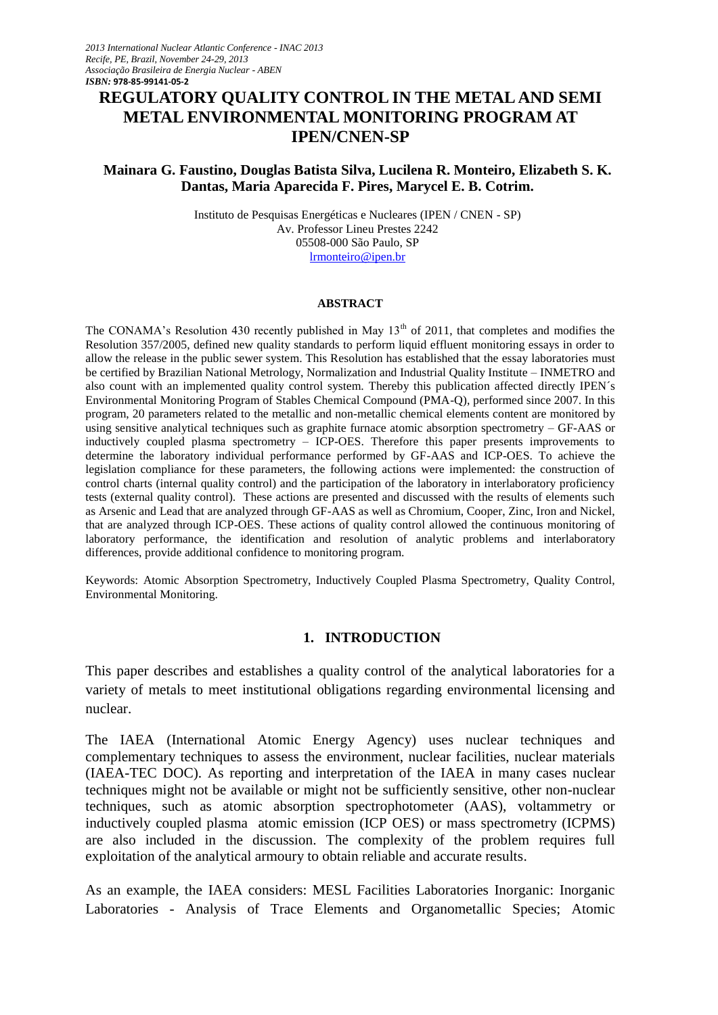# **REGULATORY QUALITY CONTROL IN THE METAL AND SEMI METAL ENVIRONMENTAL MONITORING PROGRAM AT IPEN/CNEN-SP**

## **Mainara G. Faustino, Douglas Batista Silva, Lucilena R. Monteiro, Elizabeth S. K. Dantas, Maria Aparecida F. Pires, Marycel E. B. Cotrim.**

Instituto de Pesquisas Energéticas e Nucleares (IPEN / CNEN - SP) Av. Professor Lineu Prestes 2242 05508-000 São Paulo, SP [lrmonteiro@ipen.br](mailto:lrmonteiro@ipen.br)

#### **ABSTRACT**

The CONAMA's Resolution 430 recently published in May 13<sup>th</sup> of 2011, that completes and modifies the Resolution 357/2005, defined new quality standards to perform liquid effluent monitoring essays in order to allow the release in the public sewer system. This Resolution has established that the essay laboratories must be certified by Brazilian National Metrology, Normalization and Industrial Quality Institute – INMETRO and also count with an implemented quality control system. Thereby this publication affected directly IPEN´s Environmental Monitoring Program of Stables Chemical Compound (PMA-Q), performed since 2007. In this program, 20 parameters related to the metallic and non-metallic chemical elements content are monitored by using sensitive analytical techniques such as graphite furnace atomic absorption spectrometry – GF-AAS or inductively coupled plasma spectrometry – ICP-OES. Therefore this paper presents improvements to determine the laboratory individual performance performed by GF-AAS and ICP-OES. To achieve the legislation compliance for these parameters, the following actions were implemented: the construction of control charts (internal quality control) and the participation of the laboratory in interlaboratory proficiency tests (external quality control). These actions are presented and discussed with the results of elements such as Arsenic and Lead that are analyzed through GF-AAS as well as Chromium, Cooper, Zinc, Iron and Nickel, that are analyzed through ICP-OES. These actions of quality control allowed the continuous monitoring of laboratory performance, the identification and resolution of analytic problems and interlaboratory differences, provide additional confidence to monitoring program.

Keywords: Atomic Absorption Spectrometry, Inductively Coupled Plasma Spectrometry, Quality Control, Environmental Monitoring.

#### **1. INTRODUCTION**

This paper describes and establishes a quality control of the analytical laboratories for a variety of metals to meet institutional obligations regarding environmental licensing and nuclear.

The IAEA (International Atomic Energy Agency) uses nuclear techniques and complementary techniques to assess the environment, nuclear facilities, nuclear materials (IAEA-TEC DOC). As reporting and interpretation of the IAEA in many cases nuclear techniques might not be available or might not be sufficiently sensitive, other non-nuclear techniques, such as atomic absorption spectrophotometer (AAS), voltammetry or inductively coupled plasma atomic emission (ICP OES) or mass spectrometry (ICPMS) are also included in the discussion. The complexity of the problem requires full exploitation of the analytical armoury to obtain reliable and accurate results.

As an example, the IAEA considers: MESL Facilities Laboratories Inorganic: Inorganic Laboratories - Analysis of Trace Elements and Organometallic Species; Atomic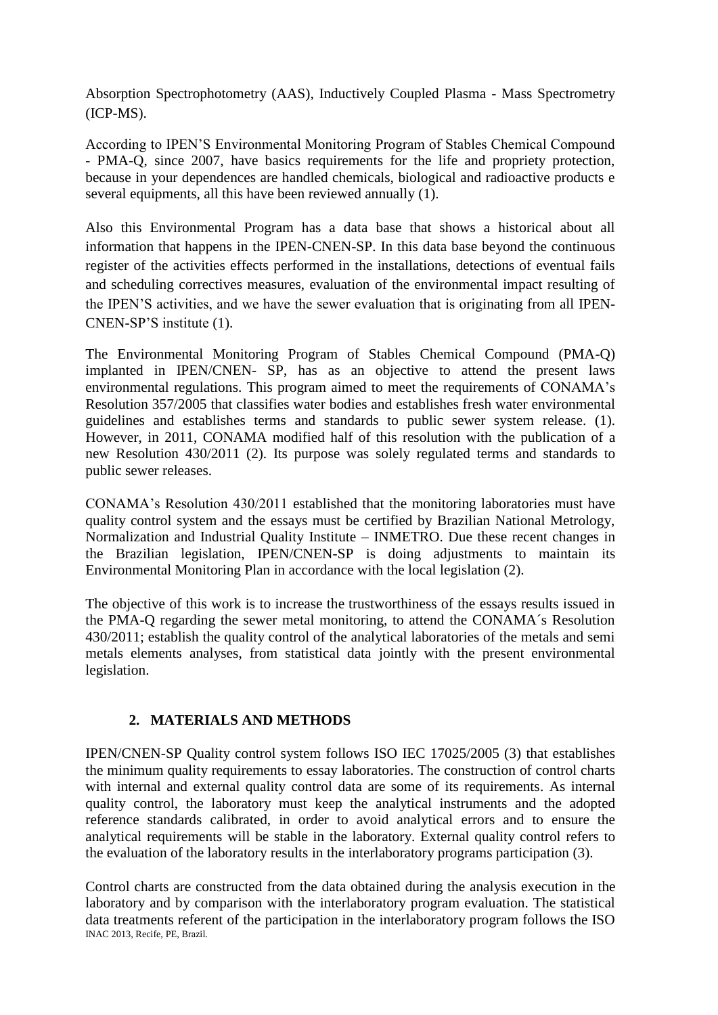Absorption Spectrophotometry (AAS), Inductively Coupled Plasma - Mass Spectrometry (ICP-MS).

According to IPEN'S Environmental Monitoring Program of Stables Chemical Compound - PMA-Q, since 2007, have basics requirements for the life and propriety protection, because in your dependences are handled chemicals, biological and radioactive products e several equipments, all this have been reviewed annually (1).

Also this Environmental Program has a data base that shows a historical about all information that happens in the IPEN-CNEN-SP. In this data base beyond the continuous register of the activities effects performed in the installations, detections of eventual fails and scheduling correctives measures, evaluation of the environmental impact resulting of the IPEN'S activities, and we have the sewer evaluation that is originating from all IPEN-CNEN-SP'S institute (1).

The Environmental Monitoring Program of Stables Chemical Compound (PMA-Q) implanted in IPEN/CNEN- SP, has as an objective to attend the present laws environmental regulations. This program aimed to meet the requirements of CONAMA's Resolution 357/2005 that classifies water bodies and establishes fresh water environmental guidelines and establishes terms and standards to public sewer system release. (1). However, in 2011, CONAMA modified half of this resolution with the publication of a new Resolution 430/2011 (2). Its purpose was solely regulated terms and standards to public sewer releases.

CONAMA's Resolution 430/2011 established that the monitoring laboratories must have quality control system and the essays must be certified by Brazilian National Metrology, Normalization and Industrial Quality Institute – INMETRO. Due these recent changes in the Brazilian legislation, IPEN/CNEN-SP is doing adjustments to maintain its Environmental Monitoring Plan in accordance with the local legislation (2).

The objective of this work is to increase the trustworthiness of the essays results issued in the PMA-Q regarding the sewer metal monitoring, to attend the CONAMA´s Resolution 430/2011; establish the quality control of the analytical laboratories of the metals and semi metals elements analyses, from statistical data jointly with the present environmental legislation.

# **2. MATERIALS AND METHODS**

IPEN/CNEN-SP Quality control system follows ISO IEC 17025/2005 (3) that establishes the minimum quality requirements to essay laboratories. The construction of control charts with internal and external quality control data are some of its requirements. As internal quality control, the laboratory must keep the analytical instruments and the adopted reference standards calibrated, in order to avoid analytical errors and to ensure the analytical requirements will be stable in the laboratory. External quality control refers to the evaluation of the laboratory results in the interlaboratory programs participation (3).

INAC 2013, Recife, PE, Brazil. Control charts are constructed from the data obtained during the analysis execution in the laboratory and by comparison with the interlaboratory program evaluation. The statistical data treatments referent of the participation in the interlaboratory program follows the ISO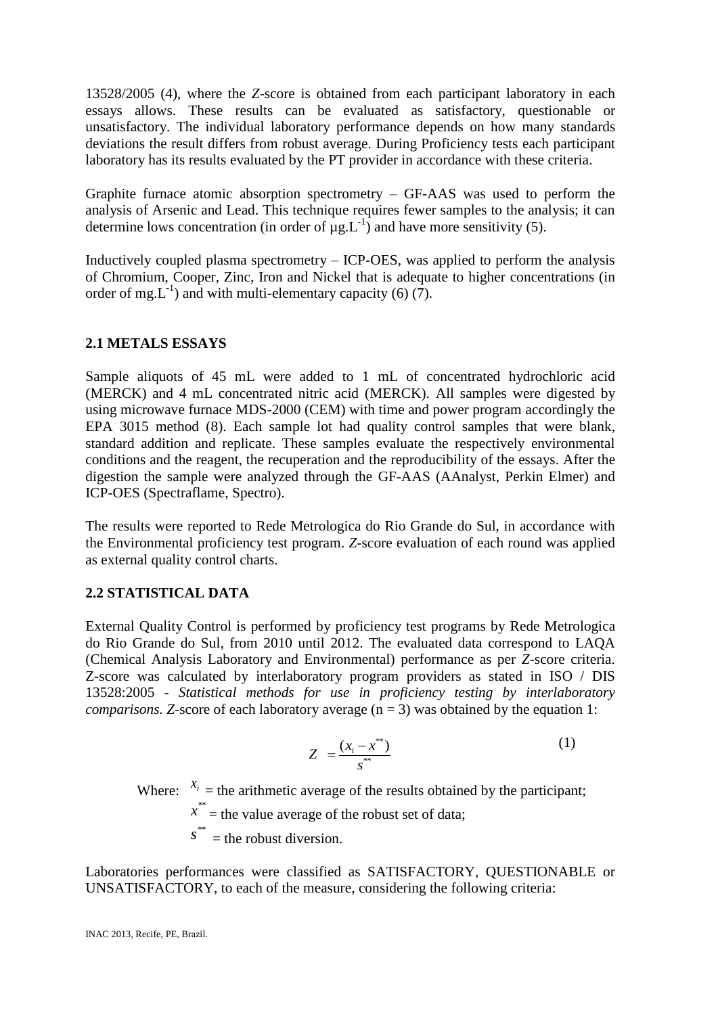13528/2005 (4), where the *Z*-score is obtained from each participant laboratory in each essays allows. These results can be evaluated as satisfactory, questionable or unsatisfactory. The individual laboratory performance depends on how many standards deviations the result differs from robust average. During Proficiency tests each participant laboratory has its results evaluated by the PT provider in accordance with these criteria.

Graphite furnace atomic absorption spectrometry – GF-AAS was used to perform the analysis of Arsenic and Lead. This technique requires fewer samples to the analysis; it can determine lows concentration (in order of  $\mu$ g.L<sup>-1</sup>) and have more sensitivity (5).

Inductively coupled plasma spectrometry – ICP-OES, was applied to perform the analysis of Chromium, Cooper, Zinc, Iron and Nickel that is adequate to higher concentrations (in order of mg.  $L^{-1}$ ) and with multi-elementary capacity (6) (7).

### **2.1 METALS ESSAYS**

Sample aliquots of 45 mL were added to 1 mL of concentrated hydrochloric acid (MERCK) and 4 mL concentrated nitric acid (MERCK). All samples were digested by using microwave furnace MDS-2000 (CEM) with time and power program accordingly the EPA 3015 method (8). Each sample lot had quality control samples that were blank, standard addition and replicate. These samples evaluate the respectively environmental conditions and the reagent, the recuperation and the reproducibility of the essays. After the digestion the sample were analyzed through the GF-AAS (AAnalyst, Perkin Elmer) and ICP-OES (Spectraflame, Spectro).

The results were reported to Rede Metrologica do Rio Grande do Sul, in accordance with the Environmental proficiency test program. *Z*-score evaluation of each round was applied as external quality control charts.

# **2.2 STATISTICAL DATA**

External Quality Control is performed by proficiency test programs by Rede Metrologica do Rio Grande do Sul, from 2010 until 2012. The evaluated data correspond to LAQA (Chemical Analysis Laboratory and Environmental) performance as per *Z*-score criteria. Z-score was calculated by interlaboratory program providers as stated in ISO / DIS 13528:2005 - *Statistical methods for use in proficiency testing by interlaboratory comparisons.* Z-score of each laboratory average  $(n = 3)$  was obtained by the equation 1:

$$
Z = \frac{(x_i - x^{**})}{s^{**}}
$$
 (1)

Where:  $x_i$  = the arithmetic average of the results obtained by the participant;

 $x^*$  = the value average of the robust set of data;

 $s^*$  = the robust diversion.

Laboratories performances were classified as SATISFACTORY, QUESTIONABLE or UNSATISFACTORY, to each of the measure, considering the following criteria: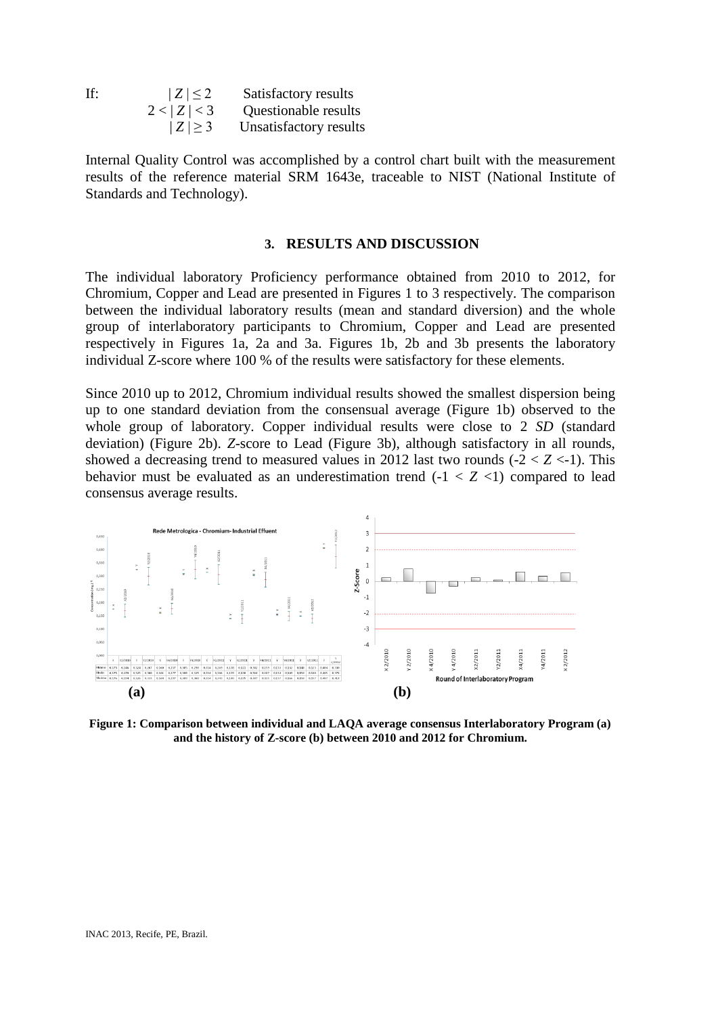| If: | $ Z  \leq 2$ | Satisfactory results        |
|-----|--------------|-----------------------------|
|     | 2 <  Z  < 3  | <b>Questionable results</b> |
|     | $ Z \geq 3$  | Unsatisfactory results      |

Internal Quality Control was accomplished by a control chart built with the measurement results of the reference material SRM 1643e, traceable to NIST (National Institute of Standards and Technology).

#### **3. RESULTS AND DISCUSSION**

The individual laboratory Proficiency performance obtained from 2010 to 2012, for Chromium, Copper and Lead are presented in Figures 1 to 3 respectively. The comparison between the individual laboratory results (mean and standard diversion) and the whole group of interlaboratory participants to Chromium, Copper and Lead are presented respectively in Figures 1a, 2a and 3a. Figures 1b, 2b and 3b presents the laboratory individual Z-score where 100 % of the results were satisfactory for these elements.

Since 2010 up to 2012, Chromium individual results showed the smallest dispersion being up to one standard deviation from the consensual average (Figure 1b) observed to the whole group of laboratory. Copper individual results were close to 2 *SD* (standard deviation) (Figure 2b). *Z*-score to Lead (Figure 3b), although satisfactory in all rounds, showed a decreasing trend to measured values in 2012 last two rounds  $(-2 < Z < -1)$ . This behavior must be evaluated as an underestimation trend  $(-1 < Z < 1)$  compared to lead consensus average results.



**Figure 1: Comparison between individual and LAQA average consensus Interlaboratory Program (a) and the history of Z-score (b) between 2010 and 2012 for Chromium.**

INAC 2013, Recife, PE, Brazil.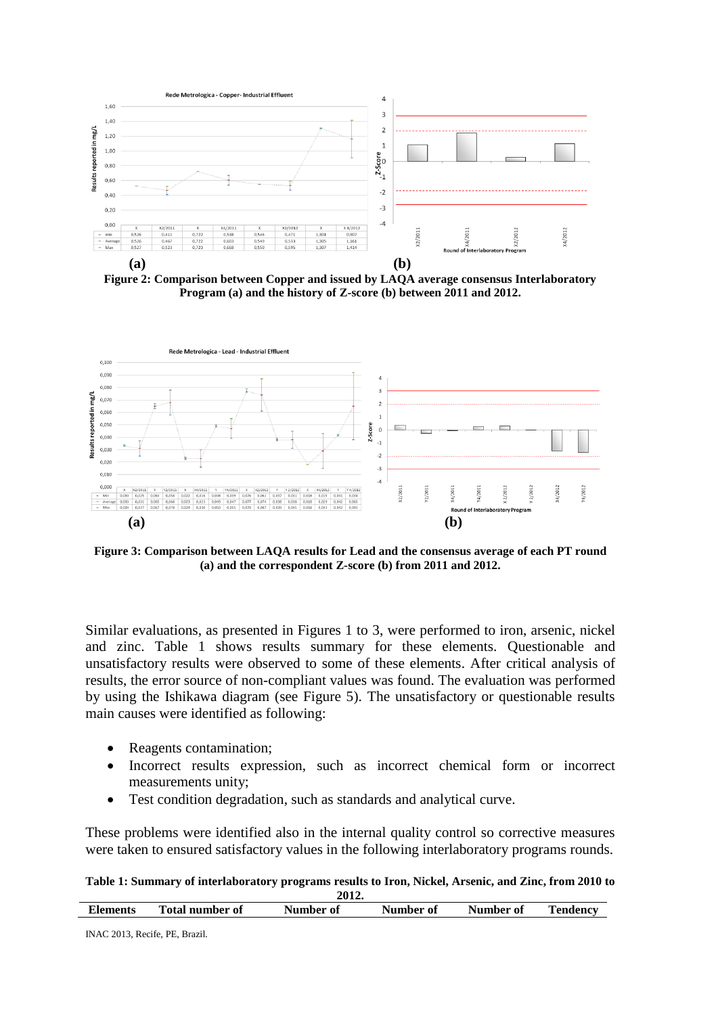

**Figure 2: Comparison between Copper and issued by LAQA average consensus Interlaboratory Program (a) and the history of Z-score (b) between 2011 and 2012.**



**Figure 3: Comparison between LAQA results for Lead and the consensus average of each PT round (a) and the correspondent Z-score (b) from 2011 and 2012.**

Similar evaluations, as presented in Figures 1 to 3, were performed to iron, arsenic, nickel and zinc. Table 1 shows results summary for these elements. Questionable and unsatisfactory results were observed to some of these elements. After critical analysis of results, the error source of non-compliant values was found. The evaluation was performed by using the Ishikawa diagram (see Figure 5). The unsatisfactory or questionable results main causes were identified as following:

- Reagents contamination;
- Incorrect results expression, such as incorrect chemical form or incorrect measurements unity;
- Test condition degradation, such as standards and analytical curve.

These problems were identified also in the internal quality control so corrective measures were taken to ensured satisfactory values in the following interlaboratory programs rounds.

**Table 1: Summary of interlaboratory programs results to Iron, Nickel, Arsenic, and Zinc, from 2010 to 2012.**

| ---------       |                        |           |           |           |          |  |  |  |
|-----------------|------------------------|-----------|-----------|-----------|----------|--|--|--|
| <b>Elements</b> | <b>Total number of</b> | Number of | Number of | Number of | Tendency |  |  |  |
|                 |                        |           |           |           |          |  |  |  |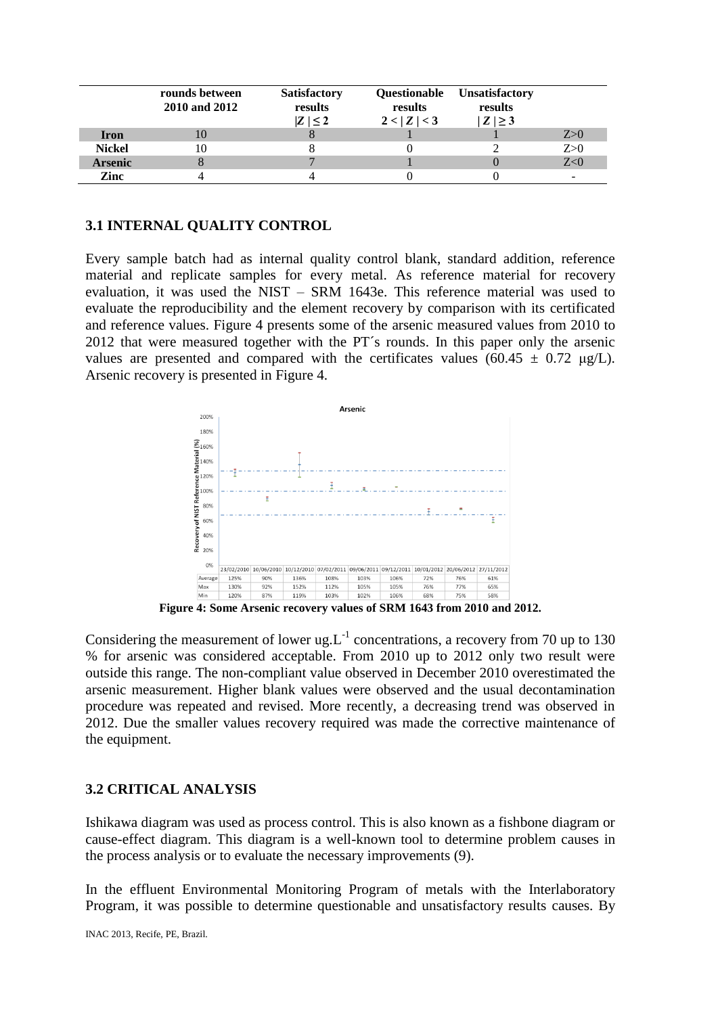|                | rounds between<br>2010 and 2012 | <b>Satisfactory</b><br>results<br>$ Z $ < 2 | Questionable<br>results<br>2 <  Z  < 3 | <b>Unsatisfactory</b><br>results<br>$ Z  \geq 3$ |     |
|----------------|---------------------------------|---------------------------------------------|----------------------------------------|--------------------------------------------------|-----|
| <b>Iron</b>    |                                 |                                             |                                        |                                                  | Z>0 |
| <b>Nickel</b>  |                                 |                                             |                                        |                                                  | Z>0 |
| <b>Arsenic</b> |                                 |                                             |                                        |                                                  | Z<0 |
| Zinc           |                                 |                                             |                                        |                                                  |     |

### **3.1 INTERNAL QUALITY CONTROL**

Every sample batch had as internal quality control blank, standard addition, reference material and replicate samples for every metal. As reference material for recovery evaluation, it was used the NIST – SRM 1643e. This reference material was used to evaluate the reproducibility and the element recovery by comparison with its certificated and reference values. Figure 4 presents some of the arsenic measured values from 2010 to 2012 that were measured together with the PT´s rounds. In this paper only the arsenic values are presented and compared with the certificates values (60.45  $\pm$  0.72 μg/L). Arsenic recovery is presented in Figure 4.



**Figure 4: Some Arsenic recovery values of SRM 1643 from 2010 and 2012.** 

Considering the measurement of lower ug.  $L^{-1}$  concentrations, a recovery from 70 up to 130 % for arsenic was considered acceptable. From 2010 up to 2012 only two result were outside this range. The non-compliant value observed in December 2010 overestimated the arsenic measurement. Higher blank values were observed and the usual decontamination procedure was repeated and revised. More recently, a decreasing trend was observed in 2012. Due the smaller values recovery required was made the corrective maintenance of the equipment.

#### **3.2 CRITICAL ANALYSIS**

Ishikawa diagram was used as process control. This is also known as a fishbone diagram or cause-effect diagram. This diagram is a well-known tool to determine problem causes in the process analysis or to evaluate the necessary improvements (9).

In the effluent Environmental Monitoring Program of metals with the Interlaboratory Program, it was possible to determine questionable and unsatisfactory results causes. By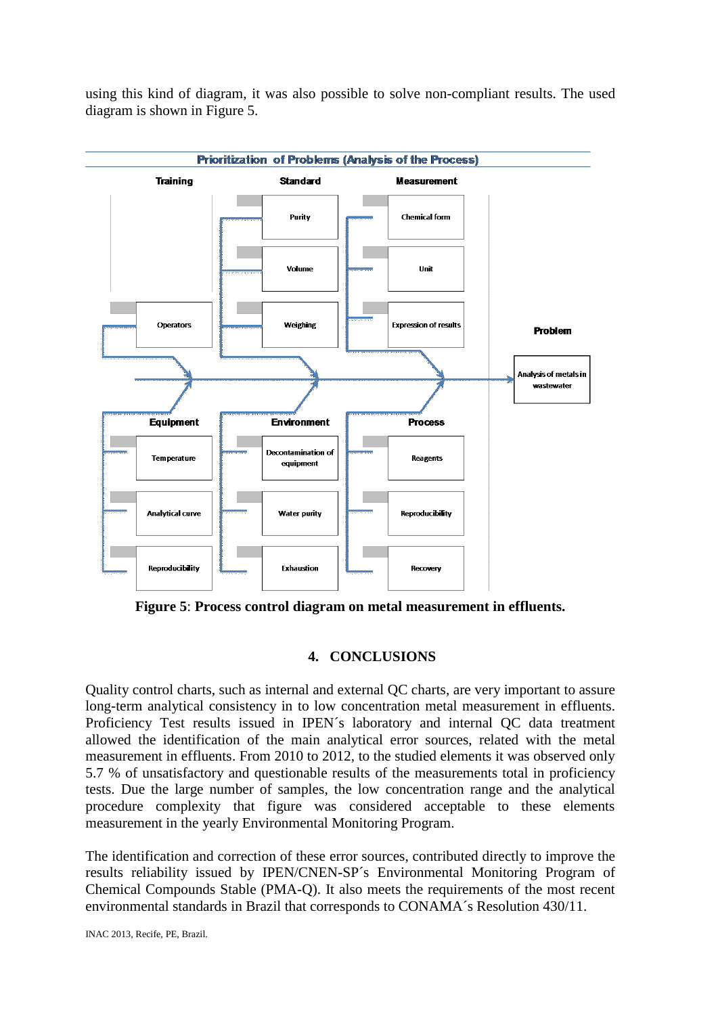

using this kind of diagram, it was also possible to solve non-compliant results. The used diagram is shown in Figure 5.

**Figure 5**: **Process control diagram on metal measurement in effluents.**

# **4. CONCLUSIONS**

Quality control charts, such as internal and external QC charts, are very important to assure long-term analytical consistency in to low concentration metal measurement in effluents. Proficiency Test results issued in IPEN´s laboratory and internal QC data treatment allowed the identification of the main analytical error sources, related with the metal measurement in effluents. From 2010 to 2012, to the studied elements it was observed only 5.7 % of unsatisfactory and questionable results of the measurements total in proficiency tests. Due the large number of samples, the low concentration range and the analytical procedure complexity that figure was considered acceptable to these elements measurement in the yearly Environmental Monitoring Program.

The identification and correction of these error sources, contributed directly to improve the results reliability issued by IPEN/CNEN-SP´s Environmental Monitoring Program of Chemical Compounds Stable (PMA-Q). It also meets the requirements of the most recent environmental standards in Brazil that corresponds to CONAMA´s Resolution 430/11.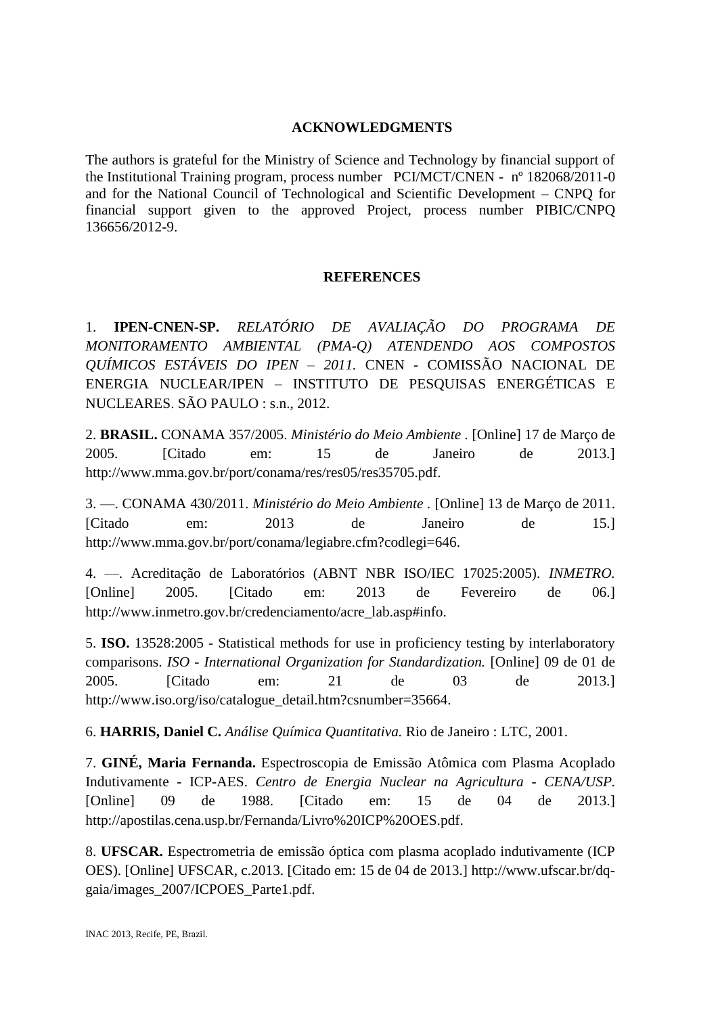## **ACKNOWLEDGMENTS**

The authors is grateful for the Ministry of Science and Technology by financial support of the Institutional Training program, process number PCI/MCT/CNEN - nº 182068/2011-0 and for the National Council of Technological and Scientific Development – CNPQ for financial support given to the approved Project, process number PIBIC/CNPQ 136656/2012-9.

## **REFERENCES**

1. **IPEN-CNEN-SP.** *RELATÓRIO DE AVALIAÇÃO DO PROGRAMA DE MONITORAMENTO AMBIENTAL (PMA-Q) ATENDENDO AOS COMPOSTOS QUÍMICOS ESTÁVEIS DO IPEN – 2011.* CNEN - COMISSÃO NACIONAL DE ENERGIA NUCLEAR/IPEN – INSTITUTO DE PESQUISAS ENERGÉTICAS E NUCLEARES. SÃO PAULO : s.n., 2012.

2. **BRASIL.** CONAMA 357/2005. *Ministério do Meio Ambiente .* [Online] 17 de Março de 2005. [Citado em: 15 de Janeiro de 2013.] http://www.mma.gov.br/port/conama/res/res05/res35705.pdf.

3. —. CONAMA 430/2011. *Ministério do Meio Ambiente .* [Online] 13 de Março de 2011. [Citado em: 2013 de Janeiro de 15.] http://www.mma.gov.br/port/conama/legiabre.cfm?codlegi=646.

4. —. Acreditação de Laboratórios (ABNT NBR ISO/IEC 17025:2005). *INMETRO.*  [Online] 2005. [Citado em: 2013 de Fevereiro de 06.] http://www.inmetro.gov.br/credenciamento/acre\_lab.asp#info.

5. **ISO.** 13528:2005 - Statistical methods for use in proficiency testing by interlaboratory comparisons. *ISO - International Organization for Standardization.* [Online] 09 de 01 de 2005. [Citado em: 21 de 03 de 2013.] http://www.iso.org/iso/catalogue\_detail.htm?csnumber=35664.

6. **HARRIS, Daniel C.** *Análise Química Quantitativa.* Rio de Janeiro : LTC, 2001.

7. **GINÉ, Maria Fernanda.** Espectroscopia de Emissão Atômica com Plasma Acoplado Indutivamente - ICP-AES. *Centro de Energia Nuclear na Agricultura - CENA/USP.*  [Online] 09 de 1988. [Citado em: 15 de 04 de 2013.] http://apostilas.cena.usp.br/Fernanda/Livro%20ICP%20OES.pdf.

8. **UFSCAR.** Espectrometria de emissão óptica com plasma acoplado indutivamente (ICP OES). [Online] UFSCAR, c.2013. [Citado em: 15 de 04 de 2013.] http://www.ufscar.br/dqgaia/images\_2007/ICPOES\_Parte1.pdf.